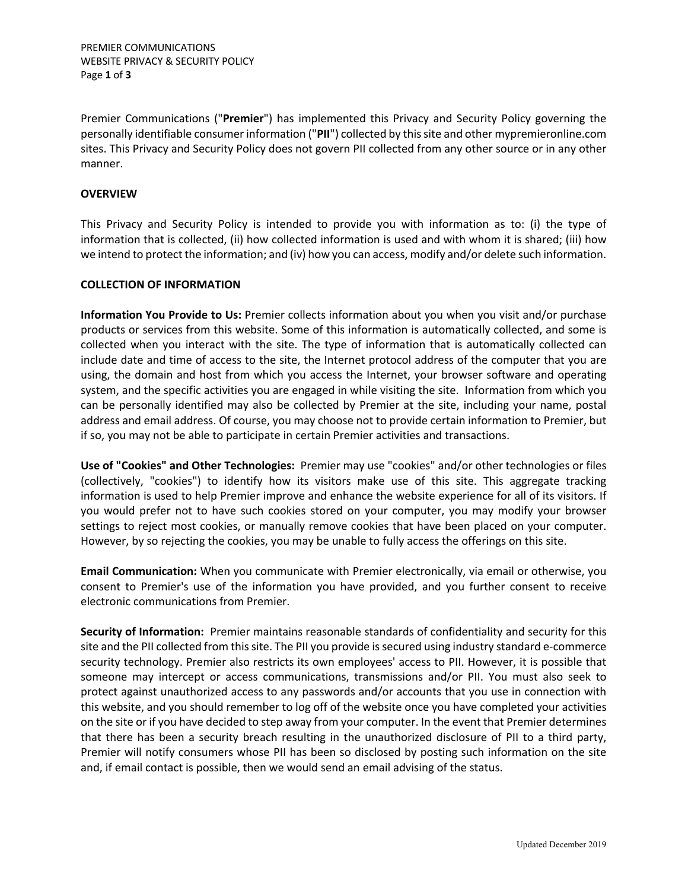Premier Communications ("**Premier**") has implemented this Privacy and Security Policy governing the personally identifiable consumer information ("**PII**") collected by this site and other mypremieronline.com sites. This Privacy and Security Policy does not govern PII collected from any other source or in any other manner.

# **OVERVIEW**

This Privacy and Security Policy is intended to provide you with information as to: (i) the type of information that is collected, (ii) how collected information is used and with whom it is shared; (iii) how we intend to protect the information; and (iv) how you can access, modify and/or delete such information.

# **COLLECTION OF INFORMATION**

**Information You Provide to Us:** Premier collects information about you when you visit and/or purchase products or services from this website. Some of this information is automatically collected, and some is collected when you interact with the site. The type of information that is automatically collected can include date and time of access to the site, the Internet protocol address of the computer that you are using, the domain and host from which you access the Internet, your browser software and operating system, and the specific activities you are engaged in while visiting the site. Information from which you can be personally identified may also be collected by Premier at the site, including your name, postal address and email address. Of course, you may choose not to provide certain information to Premier, but if so, you may not be able to participate in certain Premier activities and transactions.

**Use of "Cookies" and Other Technologies:** Premier may use "cookies" and/or other technologies or files (collectively, "cookies") to identify how its visitors make use of this site. This aggregate tracking information is used to help Premier improve and enhance the website experience for all of its visitors. If you would prefer not to have such cookies stored on your computer, you may modify your browser settings to reject most cookies, or manually remove cookies that have been placed on your computer. However, by so rejecting the cookies, you may be unable to fully access the offerings on this site.

**Email Communication:** When you communicate with Premier electronically, via email or otherwise, you consent to Premier's use of the information you have provided, and you further consent to receive electronic communications from Premier.

**Security of Information:** Premier maintains reasonable standards of confidentiality and security for this site and the PII collected from this site. The PII you provide is secured using industry standard e-commerce security technology. Premier also restricts its own employees' access to PII. However, it is possible that someone may intercept or access communications, transmissions and/or PII. You must also seek to protect against unauthorized access to any passwords and/or accounts that you use in connection with this website, and you should remember to log off of the website once you have completed your activities on the site or if you have decided to step away from your computer. In the event that Premier determines that there has been a security breach resulting in the unauthorized disclosure of PII to a third party, Premier will notify consumers whose PII has been so disclosed by posting such information on the site and, if email contact is possible, then we would send an email advising of the status.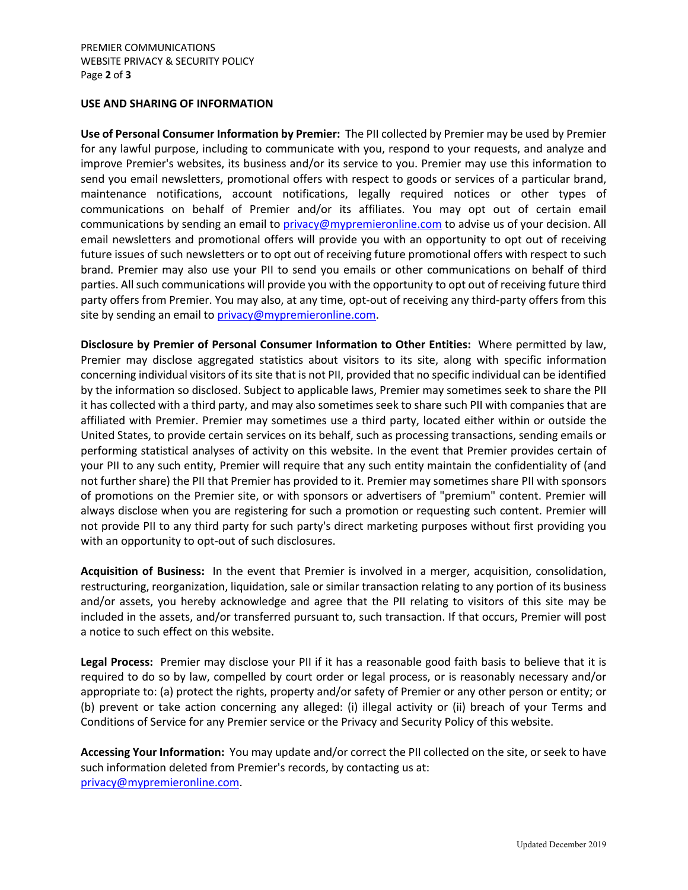### **USE AND SHARING OF INFORMATION**

**Use of Personal Consumer Information by Premier:** The PII collected by Premier may be used by Premier for any lawful purpose, including to communicate with you, respond to your requests, and analyze and improve Premier's websites, its business and/or its service to you. Premier may use this information to send you email newsletters, promotional offers with respect to goods or services of a particular brand, maintenance notifications, account notifications, legally required notices or other types of communications on behalf of Premier and/or its affiliates. You may opt out of certain email communications by sending an email to privacy@mypremieronline.com to advise us of your decision. All email newsletters and promotional offers will provide you with an opportunity to opt out of receiving future issues of such newsletters or to opt out of receiving future promotional offers with respect to such brand. Premier may also use your PII to send you emails or other communications on behalf of third parties. All such communications will provide you with the opportunity to opt out of receiving future third party offers from Premier. You may also, at any time, opt-out of receiving any third-party offers from this site by sending an email to privacy@mypremieronline.com.

**Disclosure by Premier of Personal Consumer Information to Other Entities:** Where permitted by law, Premier may disclose aggregated statistics about visitors to its site, along with specific information concerning individual visitors of its site that is not PII, provided that no specific individual can be identified by the information so disclosed. Subject to applicable laws, Premier may sometimes seek to share the PII it has collected with a third party, and may also sometimes seek to share such PII with companies that are affiliated with Premier. Premier may sometimes use a third party, located either within or outside the United States, to provide certain services on its behalf, such as processing transactions, sending emails or performing statistical analyses of activity on this website. In the event that Premier provides certain of your PII to any such entity, Premier will require that any such entity maintain the confidentiality of (and not further share) the PII that Premier has provided to it. Premier may sometimes share PII with sponsors of promotions on the Premier site, or with sponsors or advertisers of "premium" content. Premier will always disclose when you are registering for such a promotion or requesting such content. Premier will not provide PII to any third party for such party's direct marketing purposes without first providing you with an opportunity to opt-out of such disclosures.

**Acquisition of Business:** In the event that Premier is involved in a merger, acquisition, consolidation, restructuring, reorganization, liquidation, sale or similar transaction relating to any portion of its business and/or assets, you hereby acknowledge and agree that the PII relating to visitors of this site may be included in the assets, and/or transferred pursuant to, such transaction. If that occurs, Premier will post a notice to such effect on this website.

**Legal Process:** Premier may disclose your PII if it has a reasonable good faith basis to believe that it is required to do so by law, compelled by court order or legal process, or is reasonably necessary and/or appropriate to: (a) protect the rights, property and/or safety of Premier or any other person or entity; or (b) prevent or take action concerning any alleged: (i) illegal activity or (ii) breach of your Terms and Conditions of Service for any Premier service or the Privacy and Security Policy of this website.

**Accessing Your Information:** You may update and/or correct the PII collected on the site, or seek to have such information deleted from Premier's records, by contacting us at: privacy@mypremieronline.com.